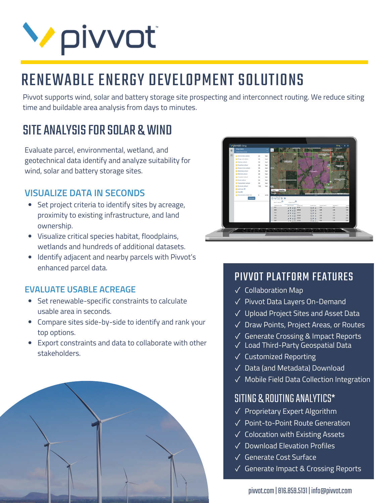## **V** pivvot

## RENEWABLE ENERGY DEVELOPMENT SOLUTIONS

Pivvot supports wind, solar and battery storage site prospecting and interconnect routing. We reduce siting time and buildable area analysis from days to minutes.

### SITE ANALYSIS FOR SOLAR & WIND

Evaluate parcel, environmental, wetland, and geotechnical data identify and analyze suitability for wind, solar and battery storage sites.

#### **VISUALIZE DATA IN SECONDS**

- Set project criteria to identify sites by acreage, proximity to existing infrastructure, and land ownership.
- Visualize critical species habitat, floodplains, wetlands and hundreds of additional datasets.
- Identify adjacent and nearby parcels with Pivvot's enhanced parcel data.

#### **EVALUATE USABLE ACREAGE**

- Set renewable-specific constraints to calculate usable area in seconds.
- Compare sites side-by-side to identify and rank your top options.
- Export constraints and data to collaborate with other stakeholders.





#### PIVVOT PLATFORM FEATURES

- Collaboration Map ✓
- Pivvot Data Layers On-Demand ✓
- Upload Project Sites and Asset Data ✓
- Draw Points, Project Areas, or Routes ✓
- Generate Crossing & Impact Reports ✓
- Load Third-Party Geospatial Data ✓
- Customized Reporting ✓
- Data (and Metadata) Download ✓
- Mobile Field Data Collection Integration ✓

#### SITING & ROUTINGANALYTICS\*

- ✓ Proprietary Expert Algorithm
- ✓ Point-to-Point Route Generation
- ✓ Colocation with Existing Assets
- ✓ Download Elevation Profiles
- ✓ Generate Cost Surface
- ✓ Generate Impact & Crossing Reports

pivvot.com |816.859.5131 | info@pivvot.com